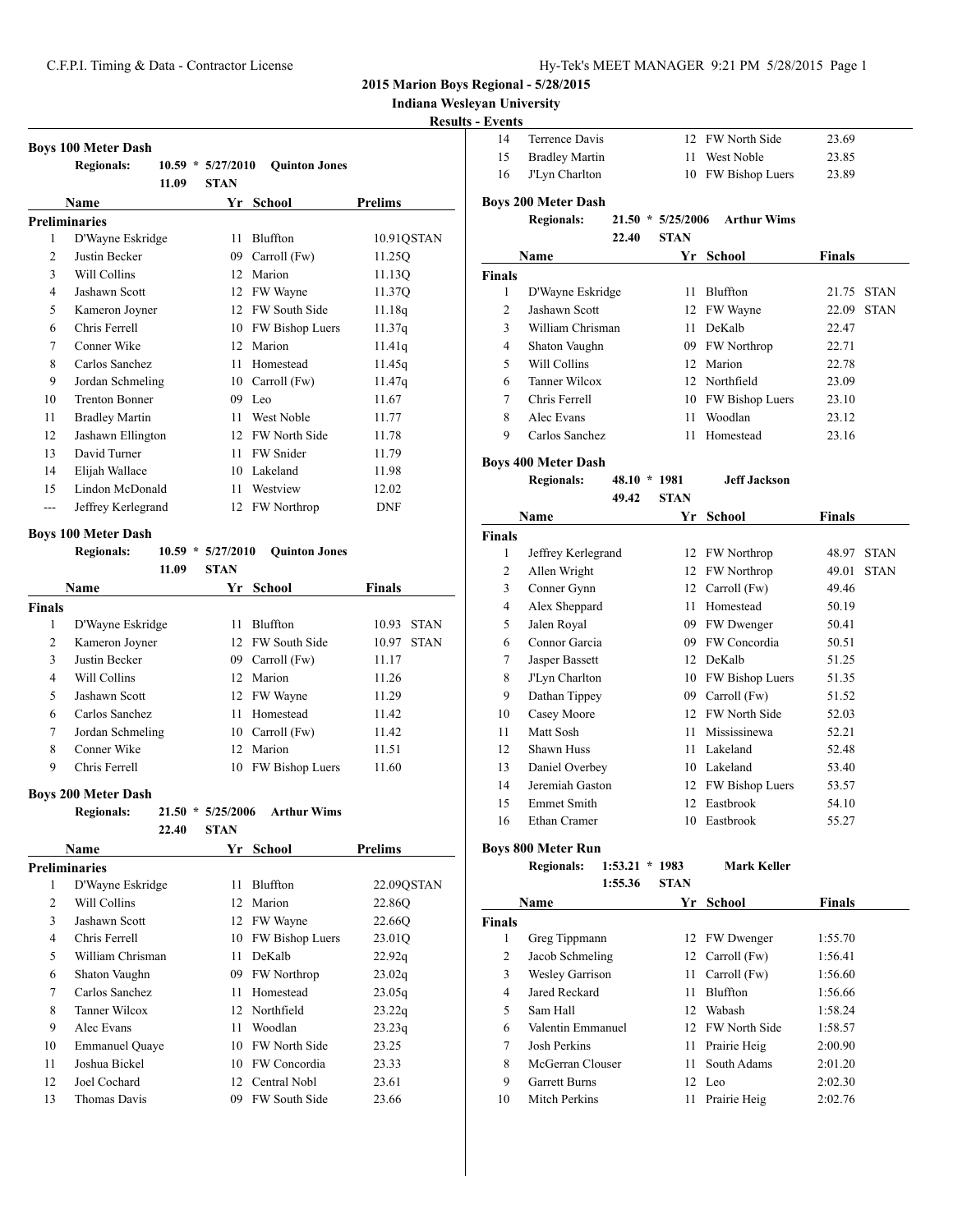**Indiana Wesleyan University**

# **Results - Events**

**Boys 200** 

| 14 | Terrence Davis    | 12 FW North Side   | 23.69 |
|----|-------------------|--------------------|-------|
|    | 15 Bradley Martin | 11 West Noble      | 23.85 |
|    | 16 J'Lyn Charlton | 10 FW Bishop Luers | 23.89 |

|    | <b>Regionals:</b>     | $10.59*$ | 5/27/2010   | <b>Quinton Jones</b> |            |
|----|-----------------------|----------|-------------|----------------------|------------|
|    |                       | 11.09    | <b>STAN</b> |                      |            |
|    | Name                  |          | Yr          | School               | Prelims    |
|    | Preliminaries         |          |             |                      |            |
| 1  | D'Wayne Eskridge      |          | 11          | Bluffton             | 10.91QSTAN |
| 2  | Justin Becker         |          | 09          | Carroll (Fw)         | 11.25Q     |
| 3  | Will Collins          |          | 12          | Marion               | 11.13O     |
| 4  | Jashawn Scott         |          | 12          | FW Wayne             | 11.37Q     |
| 5  | Kameron Joyner        |          | 12          | FW South Side        | 11.18q     |
| 6  | Chris Ferrell         |          | 10          | FW Bishop Luers      | 11.37q     |
| 7  | Conner Wike           |          | 12          | Marion               | 11.41q     |
| 8  | Carlos Sanchez        |          | 11          | Homestead            | 11.45q     |
| 9  | Jordan Schmeling      |          | 10          | Carroll (Fw)         | 11.47q     |
| 10 | <b>Trenton Bonner</b> |          | 09          | Leo                  | 11.67      |
| 11 | <b>Bradley Martin</b> |          | 11          | West Noble           | 11.77      |
| 12 | Jashawn Ellington     |          | 12          | FW North Side        | 11.78      |
| 13 | David Turner          |          | 11          | FW Snider            | 11.79      |
| 14 | Elijah Wallace        |          | 10          | Lakeland             | 11.98      |
| 15 | Lindon McDonald       |          | 11          | Westview             | 12.02      |
|    | Jeffrey Kerlegrand    |          | 12          | <b>FW</b> Northrop   | <b>DNF</b> |
|    |                       |          |             |                      |            |

#### **Boys 100 Meter Dash**

**Boys 100 Meter Dash**

|               | <b>Regionals:</b> | 10.59<br>$\ast$<br>11.09 | 5/27/2010<br><b>STAN</b> | <b>Ouinton Jones</b>   |               |             |
|---------------|-------------------|--------------------------|--------------------------|------------------------|---------------|-------------|
|               | <b>Name</b>       |                          | Yr                       | <b>School</b>          | <b>Finals</b> |             |
| <b>Finals</b> |                   |                          |                          |                        |               |             |
| 1             | D'Wayne Eskridge  |                          | 11                       | <b>Bluffton</b>        | 10.93         | <b>STAN</b> |
| 2             | Kameron Joyner    |                          | 12                       | <b>FW South Side</b>   | 10.97         | <b>STAN</b> |
| 3             | Justin Becker     |                          | 09                       | Carroll (Fw)           | 11.17         |             |
| 4             | Will Collins      |                          | 12.                      | Marion                 | 11.26         |             |
| 5             | Jashawn Scott     |                          |                          | 12 FW Wayne            | 11.29         |             |
| 6             | Carlos Sanchez    |                          | 11                       | Homestead              | 11.42         |             |
| 7             | Jordan Schmeling  |                          | 10                       | Carroll (Fw)           | 11.42         |             |
| 8             | Conner Wike       |                          | 12                       | Marion                 | 11.51         |             |
| 9             | Chris Ferrell     |                          | 10                       | <b>FW Bishop Luers</b> | 11.60         |             |

# **Boys 200 Meter Dash**

| <b>Regionals:</b> |       |                  | $21.50 * 5/25/2006$ Arthur Wims |                    |
|-------------------|-------|------------------|---------------------------------|--------------------|
|                   | 22.40 | <b>STAN</b>      |                                 |                    |
| Name              |       | $V_{\mu}$ Cahaal |                                 | D <sub>vol</sub> : |

|    | rvame                 | x r | SCHOOL               | r renms    |
|----|-----------------------|-----|----------------------|------------|
|    | Preliminaries         |     |                      |            |
| 1  | D'Wayne Eskridge      | 11  | Bluffton             | 22.09QSTAN |
| 2  | Will Collins          | 12  | Marion               | 22.86O     |
| 3  | Jashawn Scott         | 12  | FW Wayne             | 22.66O     |
| 4  | Chris Ferrell         | 10  | FW Bishop Luers      | 23.01Q     |
| 5  | William Chrisman      | 11  | DeKalb               | 22.92q     |
| 6  | Shaton Vaughn         | 09  | <b>FW Northrop</b>   | 23.02q     |
| 7  | Carlos Sanchez        | 11  | Homestead            | 23.05q     |
| 8  | Tanner Wilcox         | 12  | Northfield           | 23.22q     |
| 9  | Alec Evans            | 11  | Woodlan              | 23.23q     |
| 10 | <b>Emmanuel Quaye</b> | 10  | <b>FW North Side</b> | 23.25      |
| 11 | Joshua Bickel         | 10  | FW Concordia         | 23.33      |
| 12 | Joel Cochard          | 12  | Central Nobl         | 23.61      |
| 13 | <b>Thomas Davis</b>   | 09  | <b>FW South Side</b> | 23.66      |
|    |                       |     |                      |            |

| 0 Meter Dash      |  |                     |                    |  |
|-------------------|--|---------------------|--------------------|--|
| <b>Regionals:</b> |  | $21.50 * 5/25/2006$ | <b>Arthur Wims</b> |  |

# **22.40 STAN**

| Name          |                  | Yr. | School          | <b>Finals</b>        |
|---------------|------------------|-----|-----------------|----------------------|
| <b>Finals</b> |                  |     |                 |                      |
| 1             | D'Wayne Eskridge | 11  | <b>Bluffton</b> | 21.75<br><b>STAN</b> |
| 2             | Jashawn Scott    |     | 12 FW Wayne     | <b>STAN</b><br>22.09 |
| 3             | William Chrisman | 11. | DeKalb          | 22.47                |
| 4             | Shaton Vaughn    |     | 09 FW Northrop  | 22.71                |
| 5             | Will Collins     |     | 12 Marion       | 22.78                |
| 6             | Tanner Wilcox    |     | 12 Northfield   | 23.09                |
| 7             | Chris Ferrell    | 10  | FW Bishop Luers | 23.10                |
| 8             | Alec Evans       | 11  | Woodlan         | 23.12                |
| 9             | Carlos Sanchez   | 11  | Homestead       | 23.16                |
|               |                  |     |                 |                      |

**Boys 400 Meter Dash**

#### **Regionals: 48.10 \* 1981 Jeff Jackson 49.42 STAN**

|                | Name               | Yr | School             | Finals               |  |
|----------------|--------------------|----|--------------------|----------------------|--|
| <b>Finals</b>  |                    |    |                    |                      |  |
| 1              | Jeffrey Kerlegrand | 12 | <b>FW Northrop</b> | <b>STAN</b><br>48.97 |  |
| $\overline{c}$ | Allen Wright       | 12 | <b>FW Northrop</b> | <b>STAN</b><br>49.01 |  |
| 3              | Conner Gynn        | 12 | Carroll (Fw)       | 49.46                |  |
| 4              | Alex Sheppard      | 11 | Homestead          | 50.19                |  |
| 5              | Jalen Royal        | 09 | FW Dwenger         | 50.41                |  |
| 6              | Connor Garcia      | 09 | FW Concordia       | 50.51                |  |
| 7              | Jasper Bassett     | 12 | DeKalb             | 51.25                |  |
| 8              | J'Lyn Charlton     | 10 | FW Bishop Luers    | 51.35                |  |
| 9              | Dathan Tippey      | 09 | Carroll (Fw)       | 51.52                |  |
| 10             | Casey Moore        | 12 | FW North Side      | 52.03                |  |
| 11             | Matt Sosh          | 11 | Mississinewa       | 52.21                |  |
| 12             | Shawn Huss         | 11 | Lakeland           | 52.48                |  |
| 13             | Daniel Overbey     | 10 | Lakeland           | 53.40                |  |
| 14             | Jeremiah Gaston    | 12 | FW Bishop Luers    | 53.57                |  |
| 15             | <b>Emmet Smith</b> | 12 | Eastbrook          | 54.10                |  |
| 16             | Ethan Cramer       | 10 | Eastbrook          | 55.27                |  |

**Boys 800 Meter Run**

**Regionals: 1:53.21 \* 1983 Mark Keller 1:55.36 STAN**

|               | Name                   |    | Yr School        | <b>Finals</b> |
|---------------|------------------------|----|------------------|---------------|
| <b>Finals</b> |                        |    |                  |               |
| 1             | Greg Tippmann          |    | 12 FW Dwenger    | 1:55.70       |
| 2             | Jacob Schmeling        | 12 | Carroll (Fw)     | 1:56.41       |
| 3             | <b>Wesley Garrison</b> | 11 | Carroll (Fw)     | 1:56.60       |
| 4             | Jared Reckard          | 11 | Bluffton         | 1:56.66       |
| 5             | Sam Hall               | 12 | Wabash           | 1:58.24       |
| 6             | Valentin Emmanuel      |    | 12 FW North Side | 1:58.57       |
| 7             | Josh Perkins           | 11 | Prairie Heig     | 2:00.90       |
| 8             | McGerran Clouser       | 11 | South Adams      | 2:01.20       |
| 9             | <b>Garrett Burns</b>   |    | 12 Leo           | 2:02.30       |
| 10            | Mitch Perkins          | 11 | Prairie Heig     | 2:02.76       |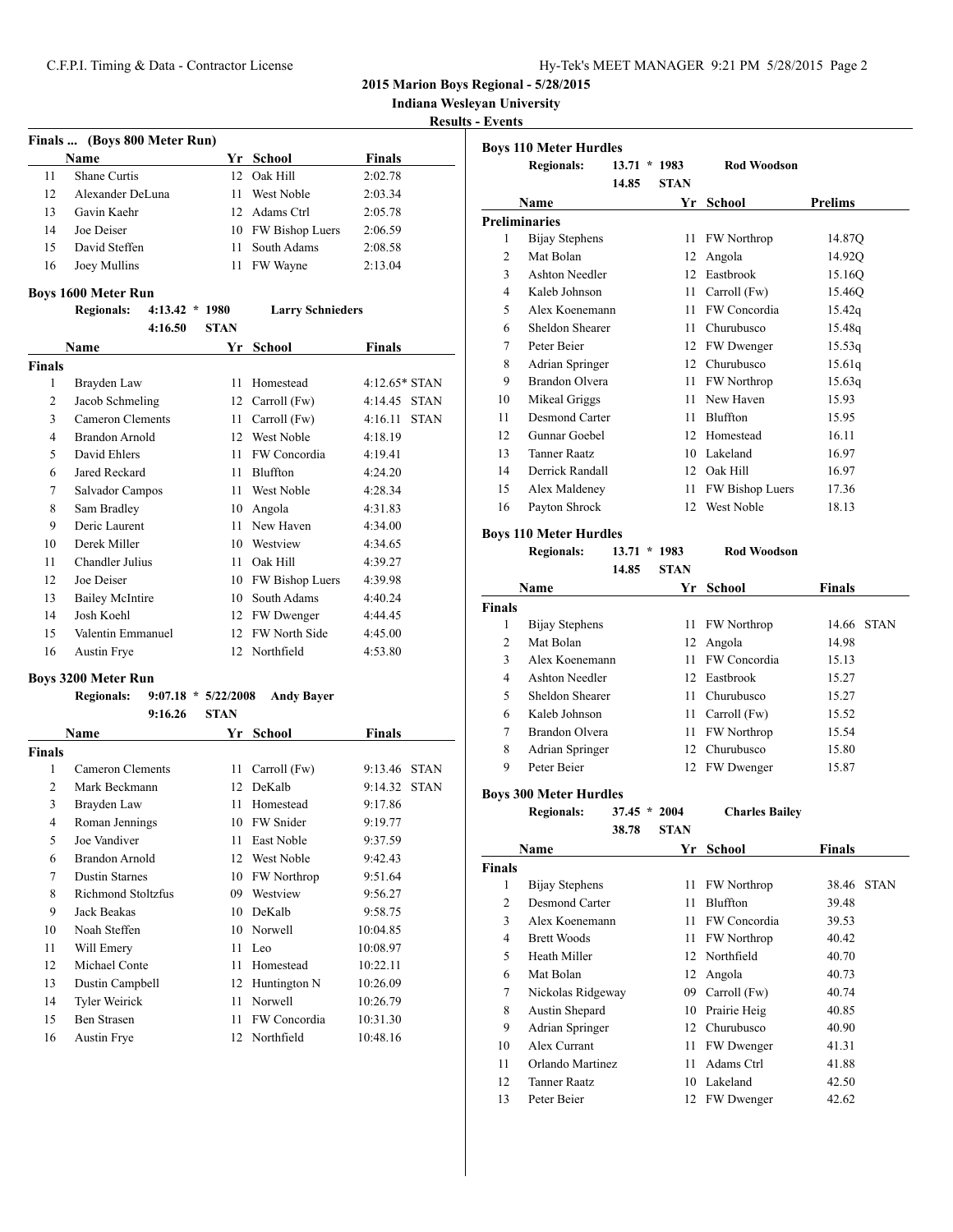**Indiana Wesleyan University**

**Results - Events**

|                              |                  |     |                    |               | resu |  |  |
|------------------------------|------------------|-----|--------------------|---------------|------|--|--|
| Finals  (Boys 800 Meter Run) |                  |     |                    |               |      |  |  |
|                              | <b>Name</b>      | Yr  | School             | <b>Finals</b> |      |  |  |
| 11                           | Shane Curtis     | 12. | Oak Hill           | 2:02.78       |      |  |  |
| 12                           | Alexander DeLuna | 11  | West Noble         | 2:03.34       |      |  |  |
| 13                           | Gavin Kaehr      |     | 12 Adams Ctrl      | 2:05.78       |      |  |  |
| 14                           | Joe Deiser       |     | 10 FW Bishop Luers | 2:06.59       |      |  |  |
| 15                           | David Steffen    | 11  | South Adams        | 2:08.58       |      |  |  |
| 16                           | Joey Mullins     | 11  | FW Wayne           | 2:13.04       |      |  |  |
|                              |                  |     |                    |               |      |  |  |

# **Boys 1600 Meter Run**

|                | <b>Regionals:</b>      | $4:13.42 * 1980$ |             | <b>Larry Schnieders</b> |                        |
|----------------|------------------------|------------------|-------------|-------------------------|------------------------|
|                |                        | 4:16.50          | <b>STAN</b> |                         |                        |
|                | <b>Name</b>            |                  | Yr          | School                  | <b>Finals</b>          |
| <b>Finals</b>  |                        |                  |             |                         |                        |
| 1              | Brayden Law            |                  | 11          | Homestead               | $4:12.65*$ STAN        |
| 2              | Jacob Schmeling        |                  | 12          | Carroll (Fw)            | <b>STAN</b><br>4:14.45 |
| 3              | Cameron Clements       |                  | 11          | Carroll (Fw)            | 4:16.11<br><b>STAN</b> |
| $\overline{4}$ | <b>Brandon Arnold</b>  |                  | 12          | West Noble              | 4:18.19                |
| 5              | David Ehlers           |                  | 11          | FW Concordia            | 4:19.41                |
| 6              | Jared Reckard          |                  | 11          | Bluffton                | 4:24.20                |
| 7              | Salvador Campos        |                  | 11          | West Noble              | 4:28.34                |
| 8              | Sam Bradley            |                  | 10          | Angola                  | 4:31.83                |
| 9              | Deric Laurent          |                  | 11          | New Haven               | 4:34.00                |
| 10             | Derek Miller           |                  | 10          | Westview                | 4:34.65                |
| 11             | Chandler Julius        |                  | 11          | Oak Hill                | 4:39.27                |
| 12             | Joe Deiser             |                  | 10          | FW Bishop Luers         | 4:39.98                |
| 13             | <b>Bailey McIntire</b> |                  | 10          | South Adams             | 4:40.24                |
| 14             | Josh Koehl             |                  | 12          | FW Dwenger              | 4:44.45                |
| 15             | Valentin Emmanuel      |                  | 12          | FW North Side           | 4:45.00                |
| 16             | Austin Frye            |                  | 12          | Northfield              | 4:53.80                |
|                |                        |                  |             |                         |                        |

# **Boys 3200 Meter Run**

|               | <b>Regionals:</b>         | $9:07.18 * 5/22/2008$ | <b>Andy Bayer</b>  |               |             |
|---------------|---------------------------|-----------------------|--------------------|---------------|-------------|
|               | 9:16.26                   | <b>STAN</b>           |                    |               |             |
|               | Name                      | Yr                    | School             | <b>Finals</b> |             |
| <b>Finals</b> |                           |                       |                    |               |             |
| 1             | Cameron Clements          | 11                    | Carroll (Fw)       | 9:13.46       | <b>STAN</b> |
| 2             | Mark Beckmann             | 12                    | DeKalb             | 9:14.32       | <b>STAN</b> |
| 3             | Brayden Law               | 11                    | Homestead          | 9:17.86       |             |
| 4             | Roman Jennings            | 10                    | <b>FW</b> Snider   | 9:19.77       |             |
| 5             | Joe Vandiver              | 11                    | East Noble         | 9:37.59       |             |
| 6             | <b>Brandon Arnold</b>     | 12                    | West Noble         | 9:42.43       |             |
| 7             | <b>Dustin Starnes</b>     | 10                    | <b>FW</b> Northrop | 9:51.64       |             |
| 8             | <b>Richmond Stoltzfus</b> | 09                    | Westview           | 9:56.27       |             |
| 9             | Jack Beakas               | 10                    | DeKalb             | 9:58.75       |             |
| 10            | Noah Steffen              | 10                    | Norwell            | 10:04.85      |             |
| 11            | Will Emery                | 11                    | Leo                | 10:08.97      |             |
| 12            | Michael Conte             | 11                    | Homestead          | 10:22.11      |             |
| 13            | Dustin Campbell           | 12                    | Huntington N       | 10:26.09      |             |
| 14            | <b>Tyler Weirick</b>      | 11                    | Norwell            | 10:26.79      |             |
| 15            | <b>Ben Strasen</b>        | 11                    | FW Concordia       | 10:31.30      |             |
| 16            | <b>Austin Frye</b>        | 12                    | Northfield         | 10:48.16      |             |

|                | <b>Regionals:</b>     | 13.71 | $*1983$     | <b>Rod Woodson</b> |                |
|----------------|-----------------------|-------|-------------|--------------------|----------------|
|                |                       | 14.85 | <b>STAN</b> |                    |                |
|                | Name                  |       | Yr          | <b>School</b>      | <b>Prelims</b> |
|                | Preliminaries         |       |             |                    |                |
| 1              | Bijay Stephens        |       | 11          | FW Northrop        | 14.87Q         |
| $\overline{2}$ | Mat Bolan             |       | 12          | Angola             | 14.92Q         |
| 3              | Ashton Needler        |       | 12          | Eastbrook          | 15.16O         |
| 4              | Kaleb Johnson         |       | 11          | Carroll (Fw)       | 15.46Q         |
| 5              | Alex Koenemann        |       | 11          | FW Concordia       | 15.42q         |
| 6              | Sheldon Shearer       |       | 11          | Churubusco         | 15.48g         |
| 7              | Peter Beier           |       | 12          | FW Dwenger         | 15.53q         |
| 8              | Adrian Springer       |       | 12          | Churubusco         | 15.61q         |
| 9              | <b>Brandon Olvera</b> |       | 11          | FW Northrop        | 15.63q         |
| 10             | Mikeal Griggs         |       | 11          | New Haven          | 15.93          |
| 11             | Desmond Carter        |       | 11          | Bluffton           | 15.95          |
| 12             | Gunnar Goebel         |       | 12          | Homestead          | 16.11          |
| 13             | <b>Tanner Raatz</b>   |       | 10          | Lakeland           | 16.97          |
| 14             | Derrick Randall       |       | 12          | Oak Hill           | 16.97          |
| 15             | Alex Maldeney         |       | 11          | FW Bishop Luers    | 17.36          |
| 16             | Payton Shrock         |       | 12          | West Noble         | 18.13          |

# **Boys 110 Meter Hurdles**

**Regionals: 13.71 \* 1983 Rod Woodson 14.85 STAN**

| Name           |                 |    | Yr School         | <b>Finals</b>        |
|----------------|-----------------|----|-------------------|----------------------|
| <b>Finals</b>  |                 |    |                   |                      |
| 1              | Bijay Stephens  |    | 11 FW Northrop    | <b>STAN</b><br>14.66 |
| $\mathfrak{D}$ | Mat Bolan       |    | 12 Angola         | 14.98                |
| 3              | Alex Koenemann  | 11 | FW Concordia      | 15.13                |
| 4              | Ashton Needler  |    | 12 Eastbrook      | 15.27                |
| 5              | Sheldon Shearer | 11 | <b>Churubusco</b> | 15.27                |
| 6              | Kaleb Johnson   | 11 | Carroll (Fw)      | 15.52                |
| 7              | Brandon Olvera  |    | 11 FW Northrop    | 15.54                |
| 8              | Adrian Springer | 12 | <b>Churubusco</b> | 15.80                |
| 9              | Peter Beier     | 12 | <b>FW</b> Dwenger | 15.87                |

# **Boys 300 Meter Hurdles**

**Regionals: 37.45 \* 2004 Charles Bailey 38.78 STAN**

| Name          |                    | Yr  | School             | <b>Finals</b> |             |
|---------------|--------------------|-----|--------------------|---------------|-------------|
| <b>Finals</b> |                    |     |                    |               |             |
| 1             | Bijay Stephens     | 11  | <b>FW Northrop</b> | 38.46         | <b>STAN</b> |
| 2             | Desmond Carter     | 11  | Bluffton           | 39.48         |             |
| 3             | Alex Koenemann     | 11  | FW Concordia       | 39.53         |             |
| 4             | <b>Brett Woods</b> | 11  | <b>FW Northrop</b> | 40.42         |             |
| 5             | Heath Miller       |     | 12 Northfield      | 40.70         |             |
| 6             | Mat Bolan          | 12  | Angola             | 40.73         |             |
| 7             | Nickolas Ridgeway  | 09. | Carroll (Fw)       | 40.74         |             |
| 8             | Austin Shepard     | 10  | Prairie Heig       | 40.85         |             |
| 9             | Adrian Springer    | 12  | Churubusco         | 40.90         |             |
| 10            | Alex Currant       | 11  | FW Dwenger         | 41.31         |             |
| 11            | Orlando Martinez   | 11  | Adams Ctrl         | 41.88         |             |
| 12            | Tanner Raatz       | 10  | Lakeland           | 42.50         |             |
| 13            | Peter Beier        | 12  | <b>FW</b> Dwenger  | 42.62         |             |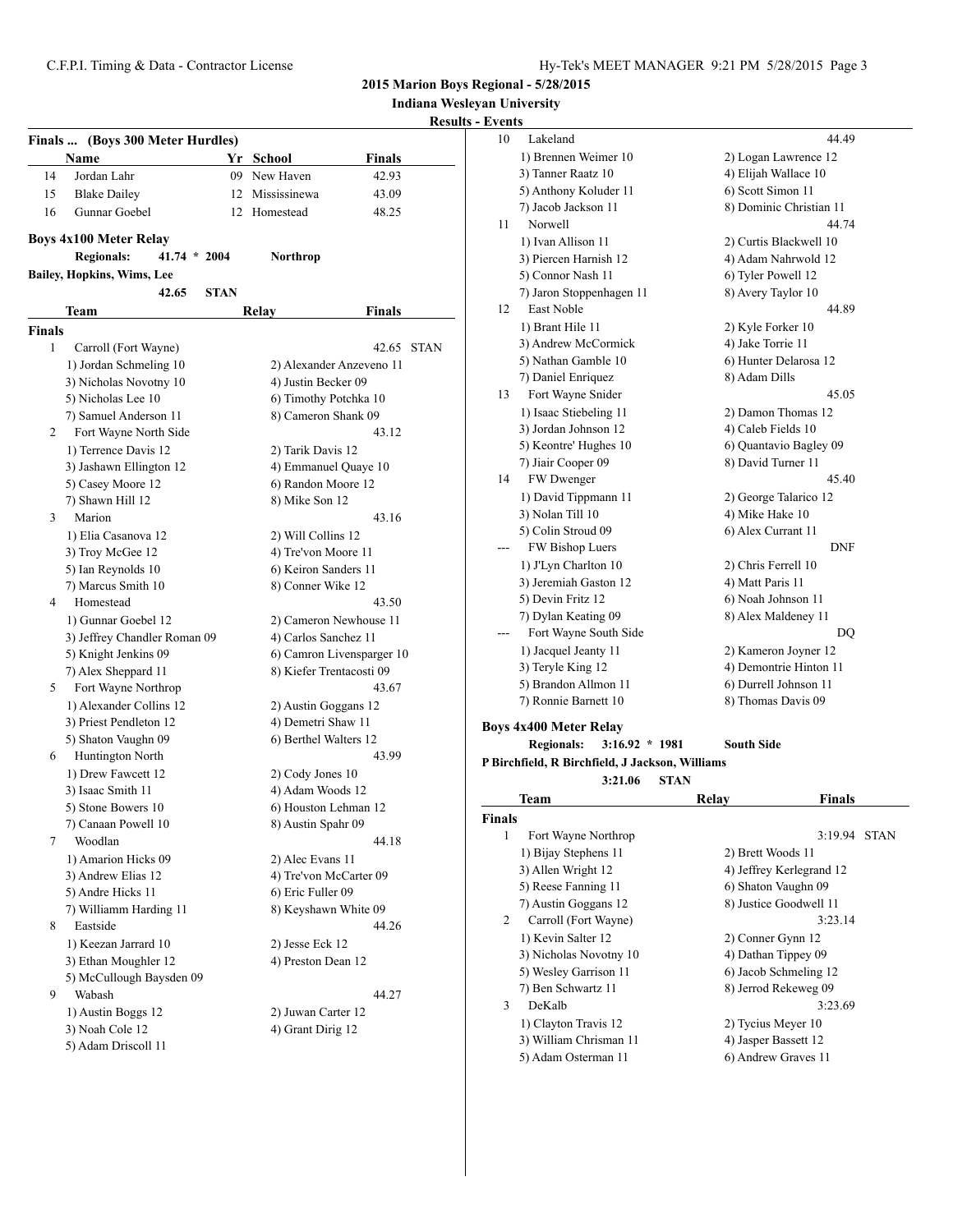15 Blake Dailey 12 Mississinewa 43.09

**2015 Marion Boys Regional - 5/28/2015**

**Indiana Wesleyan University**

|    |                                |     |           | $\cdots$ |                         |  |
|----|--------------------------------|-----|-----------|----------|-------------------------|--|
|    |                                |     |           |          | <b>Results - Events</b> |  |
|    | nals  (Boys 300 Meter Hurdles) |     |           |          |                         |  |
|    | Name                           |     | Yr School | Finals   |                         |  |
| 14 | Jordan Lahr                    | 09. | New Haven | 42.93    |                         |  |

**Finals ... (Boys 300 Meter Hurdles)**

| 16     | Gunnar Goebel                       | 12          | Homestead                | 48.25                     |             |
|--------|-------------------------------------|-------------|--------------------------|---------------------------|-------------|
|        | <b>Boys 4x100 Meter Relay</b>       |             |                          |                           |             |
|        | <b>Regionals:</b><br>$41.74 * 2004$ |             | Northrop                 |                           |             |
|        | <b>Bailey, Hopkins, Wims, Lee</b>   |             |                          |                           |             |
|        | 42.65                               | <b>STAN</b> |                          |                           |             |
|        | Team                                |             | Relay                    | Finals                    |             |
| Finals |                                     |             |                          |                           |             |
| 1      | Carroll (Fort Wayne)                |             |                          | 42.65                     | <b>STAN</b> |
|        | 1) Jordan Schmeling 10              |             |                          | 2) Alexander Anzeveno 11  |             |
|        | 3) Nicholas Novotny 10              |             | 4) Justin Becker 09      |                           |             |
|        | 5) Nicholas Lee 10                  |             | 6) Timothy Potchka 10    |                           |             |
|        | 7) Samuel Anderson 11               |             | 8) Cameron Shank 09      |                           |             |
| 2      | Fort Wayne North Side               |             |                          | 43.12                     |             |
|        | 1) Terrence Davis 12                |             | 2) Tarik Davis 12        |                           |             |
|        | 3) Jashawn Ellington 12             |             | 4) Emmanuel Quaye 10     |                           |             |
|        | 5) Casey Moore 12                   |             | 6) Randon Moore 12       |                           |             |
|        | 7) Shawn Hill 12                    |             | 8) Mike Son 12           |                           |             |
| 3      | Marion                              |             |                          | 43.16                     |             |
|        | 1) Elia Casanova 12                 |             | 2) Will Collins 12       |                           |             |
|        | 3) Troy McGee 12                    |             | 4) Tre'von Moore 11      |                           |             |
|        | 5) Ian Reynolds 10                  |             | 6) Keiron Sanders 11     |                           |             |
|        | 7) Marcus Smith 10                  |             | 8) Conner Wike 12        |                           |             |
| 4      | Homestead                           |             |                          | 43.50                     |             |
|        | 1) Gunnar Goebel 12                 |             |                          | 2) Cameron Newhouse 11    |             |
|        | 3) Jeffrey Chandler Roman 09        |             | 4) Carlos Sanchez 11     |                           |             |
|        | 5) Knight Jenkins 09                |             |                          | 6) Camron Livensparger 10 |             |
|        | 7) Alex Sheppard 11                 |             | 8) Kiefer Trentacosti 09 |                           |             |
| 5      | Fort Wayne Northrop                 |             |                          | 43.67                     |             |
|        | 1) Alexander Collins 12             |             | 2) Austin Goggans 12     |                           |             |
|        | 3) Priest Pendleton 12              |             | 4) Demetri Shaw 11       |                           |             |
|        | 5) Shaton Vaughn 09                 |             | 6) Berthel Walters 12    |                           |             |
| 6      | Huntington North                    |             |                          | 43.99                     |             |
|        | 1) Drew Fawcett 12                  |             | 2) Cody Jones 10         |                           |             |
|        | 3) Isaac Smith 11                   |             | 4) Adam Woods 12         |                           |             |
|        | 5) Stone Bowers 10                  |             | 6) Houston Lehman 12     |                           |             |
|        | 7) Canaan Powell 10                 |             | 8) Austin Spahr 09       |                           |             |
| 7      | Woodlan                             |             |                          | 44.18                     |             |
|        | 1) Amarion Hicks 09                 |             | 2) Alec Evans 11         |                           |             |
|        | 3) Andrew Elias 12                  |             | 4) Tre'von McCarter 09   |                           |             |
|        | 5) Andre Hicks 11                   |             | 6) Eric Fuller 09        |                           |             |
| 8      | 7) Williamm Harding 11<br>Eastside  |             | 8) Keyshawn White 09     | 44.26                     |             |
|        | 1) Keezan Jarrard 10                |             | 2) Jesse Eck 12          |                           |             |
|        | 3) Ethan Moughler 12                |             | 4) Preston Dean 12       |                           |             |
|        | 5) McCullough Baysden 09            |             |                          |                           |             |
| 9      | Wabash                              |             |                          | 44.27                     |             |
|        | 1) Austin Boggs 12                  |             | 2) Juwan Carter 12       |                           |             |
|        | 3) Noah Cole 12                     |             | 4) Grant Dirig 12        |                           |             |
|        | 5) Adam Driscoll 11                 |             |                          |                           |             |
|        |                                     |             |                          |                           |             |

| шv Спсэ       |                                                 |                        |                         |  |  |
|---------------|-------------------------------------------------|------------------------|-------------------------|--|--|
| 10            | Lakeland                                        |                        | 44.49                   |  |  |
|               | 1) Brennen Weimer 10                            | 2) Logan Lawrence 12   |                         |  |  |
|               | 3) Tanner Raatz 10                              | 4) Elijah Wallace 10   |                         |  |  |
|               | 5) Anthony Koluder 11                           |                        | 6) Scott Simon 11       |  |  |
|               | 7) Jacob Jackson 11                             |                        | 8) Dominic Christian 11 |  |  |
| 11            | Norwell                                         |                        | 44.74                   |  |  |
|               | 1) Ivan Allison 11                              |                        | 2) Curtis Blackwell 10  |  |  |
|               | 3) Piercen Harnish 12                           | 4) Adam Nahrwold 12    |                         |  |  |
|               | 5) Connor Nash 11                               | 6) Tyler Powell 12     |                         |  |  |
|               | 7) Jaron Stoppenhagen 11                        | 8) Avery Taylor 10     |                         |  |  |
| 12            | East Noble                                      |                        | 44.89                   |  |  |
|               | 1) Brant Hile 11                                | 2) Kyle Forker 10      |                         |  |  |
|               | 3) Andrew McCormick                             | 4) Jake Torrie 11      |                         |  |  |
|               | 5) Nathan Gamble 10                             | 6) Hunter Delarosa 12  |                         |  |  |
|               | 7) Daniel Enriquez                              | 8) Adam Dills          |                         |  |  |
| 13            | Fort Wayne Snider                               |                        | 45.05                   |  |  |
|               | 1) Isaac Stiebeling 11                          | 2) Damon Thomas 12     |                         |  |  |
|               | 3) Jordan Johnson 12                            | 4) Caleb Fields 10     |                         |  |  |
|               | 5) Keontre' Hughes 10                           | 6) Quantavio Bagley 09 |                         |  |  |
|               | 7) Jiair Cooper 09                              | 8) David Turner 11     |                         |  |  |
| 14            | FW Dwenger                                      |                        | 45.40                   |  |  |
|               | 1) David Tippmann 11                            | 2) George Talarico 12  |                         |  |  |
|               | 3) Nolan Till 10                                | 4) Mike Hake 10        |                         |  |  |
|               | 5) Colin Stroud 09                              | 6) Alex Currant 11     |                         |  |  |
|               | FW Bishop Luers                                 |                        | <b>DNF</b>              |  |  |
|               | 1) J'Lyn Charlton 10                            | 2) Chris Ferrell 10    |                         |  |  |
|               | 3) Jeremiah Gaston 12                           | 4) Matt Paris 11       |                         |  |  |
|               | 5) Devin Fritz 12                               | 6) Noah Johnson 11     |                         |  |  |
|               | 7) Dylan Keating 09                             | 8) Alex Maldeney 11    |                         |  |  |
|               | Fort Wayne South Side                           |                        | DO                      |  |  |
|               | 1) Jacquel Jeanty 11                            | 2) Kameron Joyner 12   |                         |  |  |
|               | 3) Teryle King 12                               | 4) Demontrie Hinton 11 |                         |  |  |
|               | 5) Brandon Allmon 11                            | 6) Durrell Johnson 11  |                         |  |  |
|               | 7) Ronnie Barnett 10                            | 8) Thomas Davis 09     |                         |  |  |
|               | <b>Boys 4x400 Meter Relay</b>                   |                        |                         |  |  |
|               | <b>Regionals:</b><br>$3:16.92 * 1981$           | <b>South Side</b>      |                         |  |  |
|               | P Birchfield, R Birchfield, J Jackson, Williams |                        |                         |  |  |
|               | 3:21.06                                         | <b>STAN</b>            |                         |  |  |
|               | Team                                            | Relay                  | Finals                  |  |  |
| <b>Finals</b> |                                                 |                        |                         |  |  |
| 1             | Fort Wayne Northrop                             |                        | 3:19.94 STAN            |  |  |
|               |                                                 |                        |                         |  |  |
|               | 1) Bijay Stephens 11                            | 2) Brett Woods 11      |                         |  |  |

|                | 1) Bijay Stephens 11   | 2) Brett Woods 11        |
|----------------|------------------------|--------------------------|
|                | 3) Allen Wright 12     | 4) Jeffrey Kerlegrand 12 |
|                | 5) Reese Fanning 11    | 6) Shaton Vaughn 09      |
|                | 7) Austin Goggans 12   | 8) Justice Goodwell 11   |
| $\overline{2}$ | Carroll (Fort Wayne)   | 3:23.14                  |
|                | 1) Kevin Salter 12     | 2) Conner Gynn 12        |
|                | 3) Nicholas Novotny 10 | 4) Dathan Tippey 09      |
|                | 5) Wesley Garrison 11  | 6) Jacob Schmeling 12    |
|                | 7) Ben Schwartz 11     | 8) Jerrod Rekeweg 09     |
| 3              | DeKalb                 | 3:23.69                  |
|                | 1) Clayton Travis 12   | 2) Tycius Meyer 10       |
|                | 3) William Chrisman 11 | 4) Jasper Bassett 12     |
|                | 5) Adam Osterman 11    | 6) Andrew Graves 11      |
|                |                        |                          |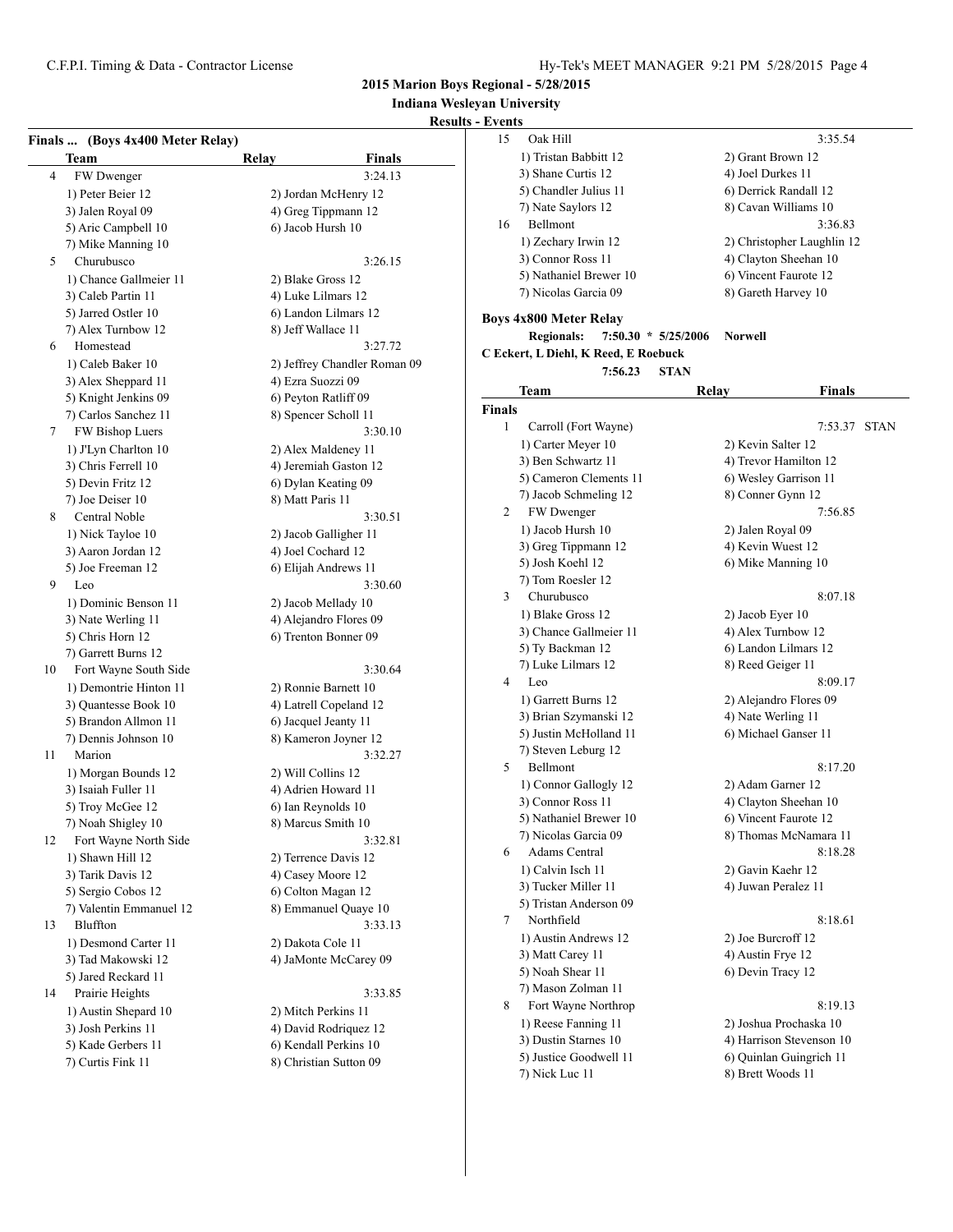# **Indiana Wesleyan University**

# **Results - Ev**

|                | Finals  (Boys 4x400 Meter Relay)<br>Team | Relay                 | <b>Finals</b>                |
|----------------|------------------------------------------|-----------------------|------------------------------|
| $\overline{4}$ | FW Dwenger                               |                       | 3:24.13                      |
|                | 1) Peter Beier 12                        |                       | 2) Jordan McHenry 12         |
|                | 3) Jalen Royal 09                        |                       | 4) Greg Tippmann 12          |
|                | 5) Aric Campbell 10                      | 6) Jacob Hursh 10     |                              |
|                | 7) Mike Manning 10                       |                       |                              |
| 5              | Churubusco                               |                       | 3:26.15                      |
|                | 1) Chance Gallmeier 11                   | 2) Blake Gross 12     |                              |
|                | 3) Caleb Partin 11                       | 4) Luke Lilmars 12    |                              |
|                | 5) Jarred Ostler 10                      |                       | 6) Landon Lilmars 12         |
|                | 7) Alex Turnbow 12                       | 8) Jeff Wallace 11    |                              |
| 6              | Homestead                                |                       | 3:27.72                      |
|                | 1) Caleb Baker 10                        |                       | 2) Jeffrey Chandler Roman 09 |
|                | 3) Alex Sheppard 11                      | 4) Ezra Suozzi 09     |                              |
|                | 5) Knight Jenkins 09                     | 6) Peyton Ratliff 09  |                              |
|                | 7) Carlos Sanchez 11                     | 8) Spencer Scholl 11  |                              |
| 7              | FW Bishop Luers                          |                       | 3:30.10                      |
|                | 1) J'Lyn Charlton 10                     | 2) Alex Maldeney 11   |                              |
|                | 3) Chris Ferrell 10                      |                       | 4) Jeremiah Gaston 12        |
|                | 5) Devin Fritz 12                        | 6) Dylan Keating 09   |                              |
|                | 7) Joe Deiser 10                         | 8) Matt Paris 11      |                              |
| 8              | Central Noble                            |                       | 3:30.51                      |
|                | 1) Nick Tayloe 10                        | 2) Jacob Galligher 11 |                              |
|                | 3) Aaron Jordan 12                       | 4) Joel Cochard 12    |                              |
|                | 5) Joe Freeman 12                        | 6) Elijah Andrews 11  |                              |
| 9              | Leo                                      |                       | 3:30.60                      |
|                | 1) Dominic Benson 11                     | 2) Jacob Mellady 10   |                              |
|                | 3) Nate Werling 11                       |                       | 4) Alejandro Flores 09       |
|                | 5) Chris Horn 12                         |                       | 6) Trenton Bonner 09         |
|                | 7) Garrett Burns 12                      |                       |                              |
| 10             | Fort Wayne South Side                    |                       | 3:30.64                      |
|                | 1) Demontrie Hinton 11                   | 2) Ronnie Barnett 10  |                              |
|                | 3) Quantesse Book 10                     |                       | 4) Latrell Copeland 12       |
|                | 5) Brandon Allmon 11                     | 6) Jacquel Jeanty 11  |                              |
|                | 7) Dennis Johnson 10                     |                       | 8) Kameron Joyner 12         |
| 11             | Marion                                   |                       | 3:32.27                      |
|                | 1) Morgan Bounds 12                      | 2) Will Collins 12    |                              |
|                | 3) Isaiah Fuller 11                      | 4) Adrien Howard 11   |                              |
|                | 5) Troy McGee 12                         | 6) Ian Reynolds 10    |                              |
|                | 7) Noah Shigley 10                       | 8) Marcus Smith 10    |                              |
| 12             | Fort Wayne North Side                    |                       | 3:32.81                      |
|                | 1) Shawn Hill 12                         | 2) Terrence Davis 12  |                              |
|                | 3) Tarik Davis 12                        | 4) Casey Moore 12     |                              |
|                | 5) Sergio Cobos 12                       | 6) Colton Magan 12    |                              |
|                | 7) Valentin Emmanuel 12                  |                       | 8) Emmanuel Quaye 10         |
| 13             | Bluffton                                 |                       | 3:33.13                      |
|                | 1) Desmond Carter 11                     | 2) Dakota Cole 11     |                              |
|                | 3) Tad Makowski 12                       |                       | 4) JaMonte McCarey 09        |
|                | 5) Jared Reckard 11                      |                       |                              |
| 14             | Prairie Heights                          |                       | 3:33.85                      |
|                | 1) Austin Shepard 10                     | 2) Mitch Perkins 11   |                              |
|                | 3) Josh Perkins 11                       |                       | 4) David Rodriguez 12        |
|                |                                          |                       | 6) Kendall Perkins 10        |
|                | 5) Kade Gerbers 11<br>7) Curtis Fink 11  |                       | 8) Christian Sutton 09       |
|                |                                          |                       |                              |

| - Events      |                                            |                            |             |
|---------------|--------------------------------------------|----------------------------|-------------|
| 15            | Oak Hill                                   | 3:35.54                    |             |
|               | 1) Tristan Babbitt 12                      | 2) Grant Brown 12          |             |
|               | 3) Shane Curtis 12                         | 4) Joel Durkes 11          |             |
|               | 5) Chandler Julius 11                      | 6) Derrick Randall 12      |             |
|               | 7) Nate Saylors 12                         | 8) Cavan Williams 10       |             |
| 16            | Bellmont                                   | 3:36.83                    |             |
|               | 1) Zechary Irwin 12                        | 2) Christopher Laughlin 12 |             |
|               | 3) Connor Ross 11                          | 4) Clayton Sheehan 10      |             |
|               | 5) Nathaniel Brewer 10                     | 6) Vincent Faurote 12      |             |
|               | 7) Nicolas Garcia 09                       | 8) Gareth Harvey 10        |             |
|               |                                            |                            |             |
|               | <b>Boys 4x800 Meter Relay</b>              |                            |             |
|               | <b>Regionals:</b><br>$7:50.30 * 5/25/2006$ | <b>Norwell</b>             |             |
|               | C Eckert, L Diehl, K Reed, E Roebuck       |                            |             |
|               | 7:56.23<br><b>STAN</b>                     |                            |             |
|               | Team                                       | Finals<br>Relay            |             |
| <b>Finals</b> |                                            |                            |             |
| 1             | Carroll (Fort Wayne)                       | 7:53.37                    | <b>STAN</b> |
|               | 1) Carter Meyer 10                         | 2) Kevin Salter 12         |             |
|               | 3) Ben Schwartz 11                         | 4) Trevor Hamilton 12      |             |
|               | 5) Cameron Clements 11                     | 6) Wesley Garrison 11      |             |
|               | 7) Jacob Schmeling 12                      | 8) Conner Gynn 12          |             |
| 2             | FW Dwenger                                 | 7:56.85                    |             |
|               | 1) Jacob Hursh 10                          | 2) Jalen Royal 09          |             |
|               | 3) Greg Tippmann 12                        | 4) Kevin Wuest 12          |             |
|               | 5) Josh Koehl 12                           | 6) Mike Manning 10         |             |
|               | 7) Tom Roesler 12                          |                            |             |
| 3             | Churubusco                                 | 8:07.18                    |             |
|               | 1) Blake Gross 12                          | 2) Jacob Eyer 10           |             |
|               | 3) Chance Gallmeier 11                     | 4) Alex Turnbow 12         |             |
|               | 5) Ty Backman 12                           | 6) Landon Lilmars 12       |             |
|               | 7) Luke Lilmars 12                         | 8) Reed Geiger 11          |             |
| 4             | Leo                                        | 8:09.17                    |             |
|               | 1) Garrett Burns 12                        | 2) Alejandro Flores 09     |             |
|               | 3) Brian Szymanski 12                      | 4) Nate Werling 11         |             |
|               | 5) Justin McHolland 11                     | 6) Michael Ganser 11       |             |
|               | 7) Steven Leburg 12                        |                            |             |
| 5             | Bellmont                                   | 8:17.20                    |             |
|               | 1) Connor Gallogly 12                      | 2) Adam Garner 12          |             |
|               | 3) Connor Ross 11                          | 4) Clayton Sheehan 10      |             |
|               | 5) Nathaniel Brewer 10                     | 6) Vincent Faurote 12      |             |
|               | 7) Nicolas Garcia 09                       | 8) Thomas McNamara 11      |             |
| 6             | <b>Adams Central</b>                       | 8:18.28                    |             |
|               | 1) Calvin Isch 11                          | 2) Gavin Kaehr 12          |             |
|               | 3) Tucker Miller 11                        | 4) Juwan Peralez 11        |             |
|               | 5) Tristan Anderson 09                     |                            |             |
| 7             | Northfield                                 | 8:18.61                    |             |
|               | 1) Austin Andrews 12                       | 2) Joe Burcroff 12         |             |
|               | 3) Matt Carey 11                           | 4) Austin Frye 12          |             |
|               | 5) Noah Shear 11                           | 6) Devin Tracy 12          |             |
|               | 7) Mason Zolman 11                         |                            |             |
| 8             | Fort Wayne Northrop                        | 8:19.13                    |             |
|               | 1) Reese Fanning 11                        | 2) Joshua Prochaska 10     |             |
|               | 3) Dustin Starnes 10                       | 4) Harrison Stevenson 10   |             |
|               | 5) Justice Goodwell 11                     | 6) Quinlan Guingrich 11    |             |
|               | 7) Nick Luc 11                             | 8) Brett Woods 11          |             |
|               |                                            |                            |             |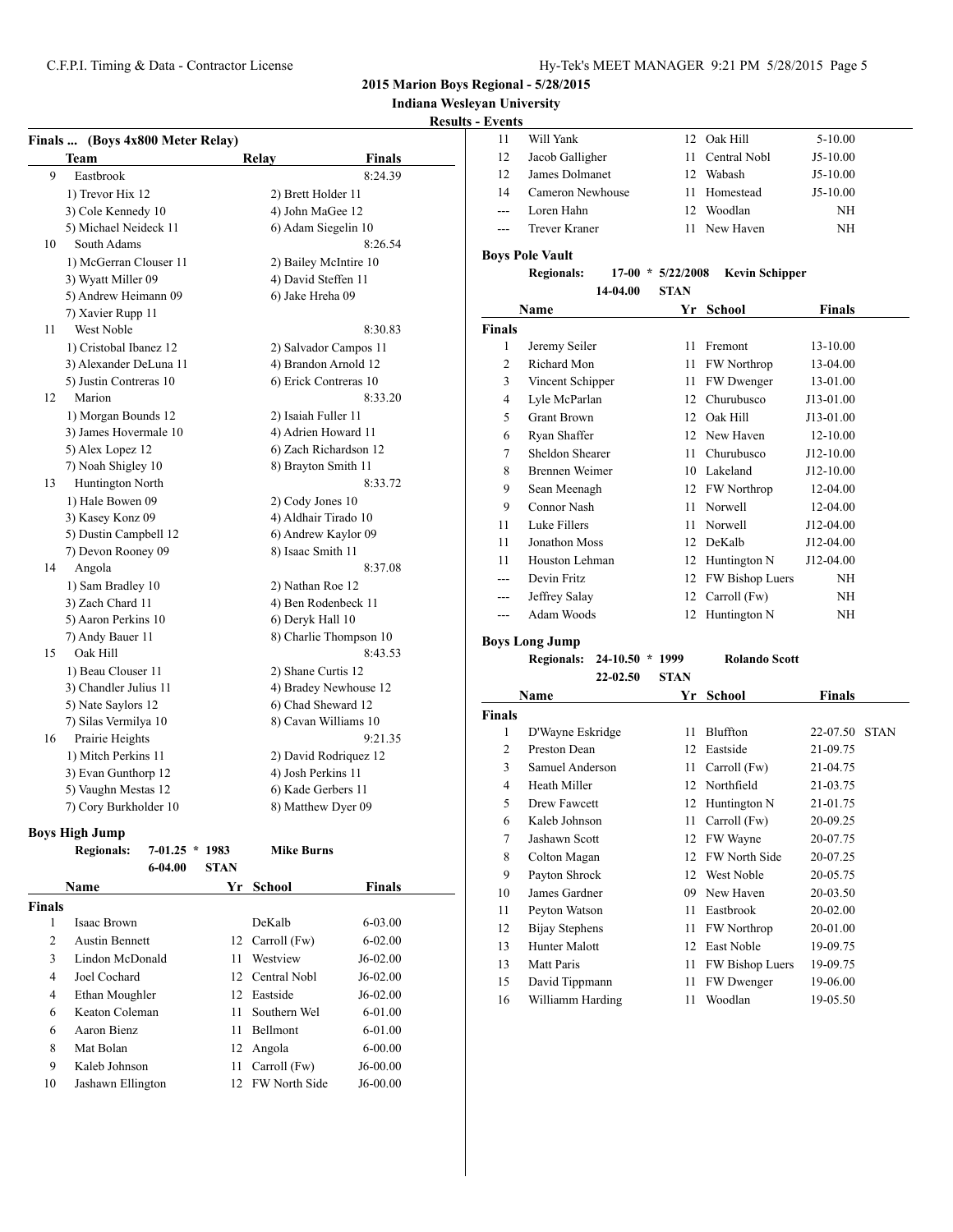# **Indiana Wesleyan University**

### **Results - Ev**

|    |                                         |                     |                                 | Kesults - Events |                        |
|----|-----------------------------------------|---------------------|---------------------------------|------------------|------------------------|
|    | Finals  (Boys 4x800 Meter Relay)        |                     |                                 | 11               | Will Yank              |
|    | <b>Team</b>                             | Relay               | <b>Finals</b>                   | 12               | Jacob Gall             |
| 9  | Eastbrook                               |                     | 8:24.39                         | 12               | James Dol:             |
|    | 1) Trevor Hix 12                        | 2) Brett Holder 11  |                                 | 14               | Cameron N              |
|    | 3) Cole Kennedy 10                      | 4) John MaGee 12    |                                 | ---              | Loren Hah              |
|    | 5) Michael Neideck 11                   |                     | 6) Adam Siegelin 10             | $---$            | <b>Trever Kra</b>      |
| 10 | South Adams                             |                     | 8:26.54                         |                  |                        |
|    | 1) McGerran Clouser 11                  |                     | 2) Bailey McIntire 10           |                  | <b>Boys Pole Vault</b> |
|    | 3) Wyatt Miller 09                      |                     | 4) David Steffen 11             |                  | <b>Regionals:</b>      |
|    | 5) Andrew Heimann 09                    | 6) Jake Hreha 09    |                                 |                  |                        |
|    | 7) Xavier Rupp 11                       |                     |                                 |                  | Name                   |
| 11 | West Noble                              |                     | 8:30.83                         | <b>Finals</b>    |                        |
|    | 1) Cristobal Ibanez 12                  |                     | 2) Salvador Campos 11           | $\mathbf{1}$     | Jeremy Sei             |
|    | 3) Alexander DeLuna 11                  |                     | 4) Brandon Arnold 12            | $\overline{c}$   | Richard M              |
|    | 5) Justin Contreras 10                  |                     | 6) Erick Contreras 10           | 3                | Vincent Sc             |
| 12 | Marion                                  |                     | 8:33.20                         | $\overline{4}$   | Lyle McPa              |
|    | 1) Morgan Bounds 12                     | 2) Isaiah Fuller 11 |                                 | 5                | <b>Grant Broy</b>      |
|    | 3) James Hovermale 10                   |                     | 4) Adrien Howard 11             | 6                | Ryan Shaf              |
|    | 5) Alex Lopez 12                        |                     | 6) Zach Richardson 12           | 7                | Sheldon Sl             |
|    | 7) Noah Shigley 10                      |                     | 8) Brayton Smith 11             | 8                | Brennen W              |
| 13 | Huntington North                        |                     | 8:33.72                         | 9                | Sean Meer              |
|    | 1) Hale Bowen 09                        | 2) Cody Jones 10    |                                 | 9                | Connor Na              |
|    | 3) Kasey Konz 09                        |                     | 4) Aldhair Tirado 10            | 11               | Luke Filler            |
|    | 5) Dustin Campbell 12                   |                     | 6) Andrew Kaylor 09             | 11               | Jonathon N             |
|    | 7) Devon Rooney 09                      | 8) Isaac Smith 11   |                                 | 11               | Houston L              |
| 14 | Angola                                  |                     | 8:37.08                         | ---              | Devin Fritz            |
|    | 1) Sam Bradley 10                       | 2) Nathan Roe 12    |                                 | $---$            | Jeffrey Sal            |
|    | 3) Zach Chard 11                        |                     | 4) Ben Rodenbeck 11             | ---              | Adam Woo               |
|    | 5) Aaron Perkins 10                     | 6) Deryk Hall 10    |                                 |                  |                        |
|    | 7) Andy Bauer 11<br>Oak Hill            |                     | 8) Charlie Thompson 10          |                  | <b>Boys Long Jump</b>  |
| 15 |                                         |                     | 8:43.53                         |                  | <b>Regionals:</b>      |
|    | 1) Beau Clouser 11                      |                     | 2) Shane Curtis 12              |                  |                        |
|    | 3) Chandler Julius 11                   |                     | 4) Bradey Newhouse 12           |                  | <b>Name</b>            |
|    | 5) Nate Saylors 12                      |                     | 6) Chad Sheward 12              | <b>Finals</b>    |                        |
| 16 | 7) Silas Vermilya 10<br>Prairie Heights |                     | 8) Cavan Williams 10<br>9:21.35 | $\mathbf{1}$     | D'Wayne E              |
|    | 1) Mitch Perkins 11                     |                     |                                 | 2                | Preston De             |
|    |                                         | 4) Josh Perkins 11  | 2) David Rodriguez 12           | 3                | Samuel An              |
|    | 3) Evan Gunthorp 12                     |                     | 6) Kade Gerbers 11              | 4                | Heath Mill             |
|    | 5) Vaughn Mestas 12                     |                     |                                 |                  |                        |

#### **Boys High Jump**

|               | <b>Regionals:</b>     | $7 - 01.25$<br>$\ast$ | 1983        | <b>Mike Burns</b>    |               |
|---------------|-----------------------|-----------------------|-------------|----------------------|---------------|
|               |                       | $6 - 04.00$           | <b>STAN</b> |                      |               |
|               | Name                  |                       | Yr          | School               | <b>Finals</b> |
| <b>Finals</b> |                       |                       |             |                      |               |
| 1             | Isaac Brown           |                       |             | DeKalb               | $6 - 03.00$   |
| 2             | <b>Austin Bennett</b> |                       |             | 12 Carroll (Fw)      | $6 - 02.00$   |
| 3             | Lindon McDonald       |                       | 11          | Westview             | J6-02.00      |
| 4             | Joel Cochard          |                       | 12          | Central Nobl         | $J6-02.00$    |
| 4             | Ethan Moughler        |                       | 12          | Eastside             | $J6-02.00$    |
| 6             | Keaton Coleman        |                       | 11          | Southern Wel         | $6 - 01.00$   |
| 6             | Aaron Bienz           |                       | 11          | Bellmont             | $6 - 01.00$   |
| 8             | Mat Bolan             |                       | 12          | Angola               | $6 - 00.00$   |
| 9             | Kaleb Johnson         |                       | 11          | Carroll (Fw)         | $J6-00.00$    |
| 10            | Jashawn Ellington     |                       | 12          | <b>FW North Side</b> | $J6-00.00$    |

7) Cory Burkholder 10 8) Matthew Dyer 09

| -11   | Will Yank            |     | 12 Oak Hill     | 5-10.00    |
|-------|----------------------|-----|-----------------|------------|
| -12   | Jacob Galligher      |     | 11 Central Nobl | $J5-10.00$ |
| -12   | James Dolmanet       |     | 12 Wabash       | $J5-10.00$ |
| 14    | Cameron Newhouse     |     | 11 Homestead    | $J5-10.00$ |
| $---$ | Loren Hahn           | 12. | Woodlan         | NH         |
| $---$ | <b>Trever Kraner</b> |     | 11 New Haven    | NH         |
|       |                      |     |                 |            |

## **Regionals: 17-00 \* 5/22/2008 Kevin Schipper 14-04.00 STAN**

| Name           |                    | Yr | <b>School</b>      | Finals        |
|----------------|--------------------|----|--------------------|---------------|
| `inals         |                    |    |                    |               |
| 1              | Jeremy Seiler      | 11 | Fremont            | 13-10.00      |
| $\overline{c}$ | Richard Mon        | 11 | <b>FW</b> Northrop | 13-04.00      |
| 3              | Vincent Schipper   | 11 | FW Dwenger         | 13-01.00      |
| 4              | Lyle McParlan      | 12 | Churubusco         | J13-01.00     |
| 5              | <b>Grant Brown</b> | 12 | Oak Hill           | J13-01.00     |
| 6              | Ryan Shaffer       | 12 | New Haven          | 12-10.00      |
| 7              | Sheldon Shearer    | 11 | Churubusco         | $J12-10.00$   |
| 8              | Brennen Weimer     | 10 | Lakeland           | $J12 - 10.00$ |
| 9              | Sean Meenagh       |    | 12 FW Northrop     | 12-04.00      |
| 9              | Connor Nash        | 11 | Norwell            | 12-04.00      |
| 11             | Luke Fillers       | 11 | Norwell            | J12-04.00     |
| 11             | Jonathon Moss      | 12 | DeKalb             | J12-04.00     |
| 11             | Houston Lehman     | 12 | Huntington N       | J12-04.00     |
| ---            | Devin Fritz        | 12 | FW Bishop Luers    | ΝH            |
|                | Jeffrey Salay      | 12 | Carroll (Fw)       | NH            |
|                | Adam Woods         | 12 | Huntington N       | ΝH            |
|                |                    |    |                    |               |

**Regionals: 24-10.50 \* 1999 Rolando Scott 22-02.50 STAN**

| Name           |                  | Yr | <b>School</b>        | <b>Finals</b> |             |
|----------------|------------------|----|----------------------|---------------|-------------|
| nals           |                  |    |                      |               |             |
| 1              | D'Wayne Eskridge | 11 | Bluffton             | 22-07.50      | <b>STAN</b> |
| $\overline{c}$ | Preston Dean     | 12 | Eastside             | 21-09.75      |             |
| 3              | Samuel Anderson  | 11 | Carroll (Fw)         | 21-04.75      |             |
| 4              | Heath Miller     | 12 | Northfield           | 21-03.75      |             |
| 5              | Drew Fawcett     | 12 | Huntington N         | 21-01.75      |             |
| 6              | Kaleb Johnson    | 11 | Carroll (Fw)         | 20-09.25      |             |
| 7              | Jashawn Scott    | 12 | FW Wayne             | 20-07.75      |             |
| 8              | Colton Magan     | 12 | <b>FW North Side</b> | 20-07.25      |             |
| 9              | Payton Shrock    | 12 | West Noble           | 20-05.75      |             |
| 10             | James Gardner    | 09 | New Haven            | 20-03.50      |             |
| 11             | Peyton Watson    | 11 | Eastbrook            | 20-02.00      |             |
| 12             | Bijay Stephens   | 11 | <b>FW</b> Northrop   | 20-01.00      |             |
| 13             | Hunter Malott    | 12 | East Noble           | 19-09.75      |             |
| 13             | Matt Paris       | 11 | FW Bishop Luers      | 19-09.75      |             |
| 15             | David Tippmann   | 11 | <b>FW</b> Dwenger    | 19-06.00      |             |
| 16             | Williamm Harding | 11 | Woodlan              | 19-05.50      |             |